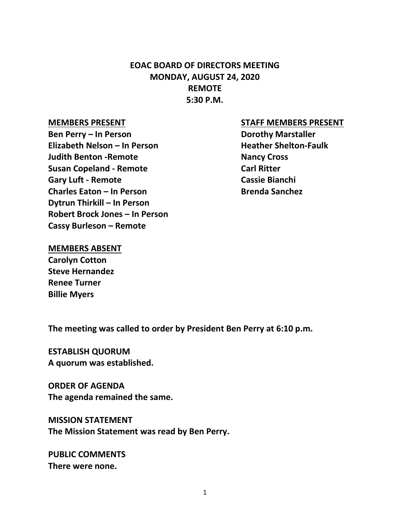# **EOAC BOARD OF DIRECTORS MEETING MONDAY, AUGUST 24, 2020 REMOTE 5:30 P.M.**

**Ben Perry – In Person Dorothy Marstaller Elizabeth Nelson – In Person Heather Shelton-Faulk Judith Benton -Remote Nancy Cross Susan Copeland - Remote Carl Ritter Gary Luft - Remote Cassie Bianchi Charles Eaton – In Person Brenda Sanchez Dytrun Thirkill – In Person Robert Brock Jones – In Person Cassy Burleson – Remote**

#### **MEMBERS PRESENT STAFF MEMBERS PRESENT**

#### **MEMBERS ABSENT**

**Carolyn Cotton Steve Hernandez Renee Turner Billie Myers** 

**The meeting was called to order by President Ben Perry at 6:10 p.m.**

**ESTABLISH QUORUM A quorum was established.**

**ORDER OF AGENDA The agenda remained the same.**

**MISSION STATEMENT The Mission Statement was read by Ben Perry.**

**PUBLIC COMMENTS There were none.**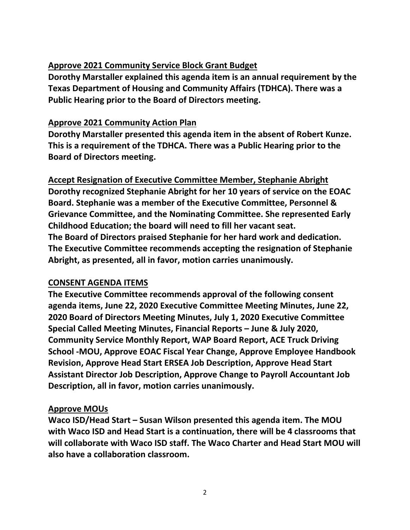# **Approve 2021 Community Service Block Grant Budget**

**Dorothy Marstaller explained this agenda item is an annual requirement by the Texas Department of Housing and Community Affairs (TDHCA). There was a Public Hearing prior to the Board of Directors meeting.** 

# **Approve 2021 Community Action Plan**

**Dorothy Marstaller presented this agenda item in the absent of Robert Kunze. This is a requirement of the TDHCA. There was a Public Hearing prior to the Board of Directors meeting.** 

**Accept Resignation of Executive Committee Member, Stephanie Abright Dorothy recognized Stephanie Abright for her 10 years of service on the EOAC Board. Stephanie was a member of the Executive Committee, Personnel & Grievance Committee, and the Nominating Committee. She represented Early Childhood Education; the board will need to fill her vacant seat. The Board of Directors praised Stephanie for her hard work and dedication. The Executive Committee recommends accepting the resignation of Stephanie Abright, as presented, all in favor, motion carries unanimously.**

## **CONSENT AGENDA ITEMS**

**The Executive Committee recommends approval of the following consent agenda items, June 22, 2020 Executive Committee Meeting Minutes, June 22, 2020 Board of Directors Meeting Minutes, July 1, 2020 Executive Committee Special Called Meeting Minutes, Financial Reports – June & July 2020, Community Service Monthly Report, WAP Board Report, ACE Truck Driving School -MOU, Approve EOAC Fiscal Year Change, Approve Employee Handbook Revision, Approve Head Start ERSEA Job Description, Approve Head Start Assistant Director Job Description, Approve Change to Payroll Accountant Job Description, all in favor, motion carries unanimously.**

# **Approve MOUs**

**Waco ISD/Head Start – Susan Wilson presented this agenda item. The MOU with Waco ISD and Head Start is a continuation, there will be 4 classrooms that will collaborate with Waco ISD staff. The Waco Charter and Head Start MOU will also have a collaboration classroom.**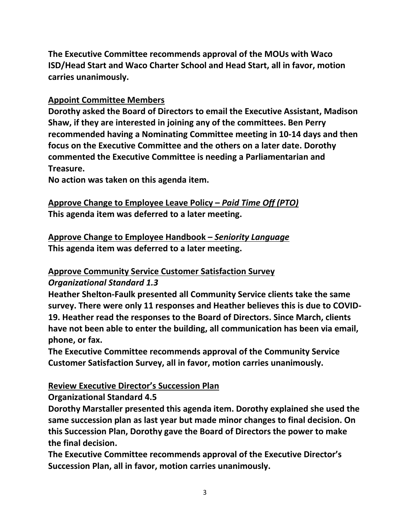**The Executive Committee recommends approval of the MOUs with Waco ISD/Head Start and Waco Charter School and Head Start, all in favor, motion carries unanimously.**

# **Appoint Committee Members**

**Dorothy asked the Board of Directors to email the Executive Assistant, Madison Shaw, if they are interested in joining any of the committees. Ben Perry recommended having a Nominating Committee meeting in 10-14 days and then focus on the Executive Committee and the others on a later date. Dorothy commented the Executive Committee is needing a Parliamentarian and Treasure.**

**No action was taken on this agenda item.**

**Approve Change to Employee Leave Policy –** *Paid Time Off (PTO)* **This agenda item was deferred to a later meeting.**

**Approve Change to Employee Handbook –** *Seniority Language* **This agenda item was deferred to a later meeting.**

# **Approve Community Service Customer Satisfaction Survey**

## *Organizational Standard 1.3*

**Heather Shelton-Faulk presented all Community Service clients take the same survey. There were only 11 responses and Heather believes this is due to COVID-19. Heather read the responses to the Board of Directors. Since March, clients have not been able to enter the building, all communication has been via email, phone, or fax.**

**The Executive Committee recommends approval of the Community Service Customer Satisfaction Survey, all in favor, motion carries unanimously.**

# **Review Executive Director's Succession Plan**

**Organizational Standard 4.5**

**Dorothy Marstaller presented this agenda item. Dorothy explained she used the same succession plan as last year but made minor changes to final decision. On this Succession Plan, Dorothy gave the Board of Directors the power to make the final decision.**

**The Executive Committee recommends approval of the Executive Director's Succession Plan, all in favor, motion carries unanimously.**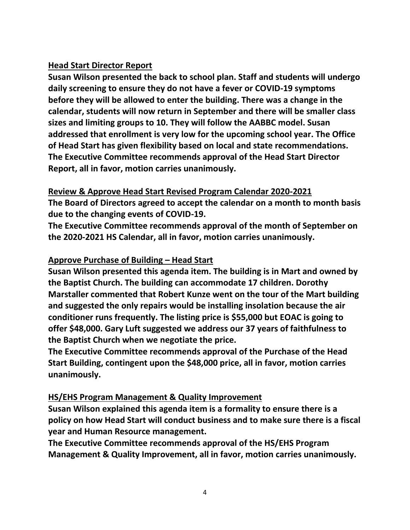## **Head Start Director Report**

**Susan Wilson presented the back to school plan. Staff and students will undergo daily screening to ensure they do not have a fever or COVID-19 symptoms before they will be allowed to enter the building. There was a change in the calendar, students will now return in September and there will be smaller class sizes and limiting groups to 10. They will follow the AABBC model. Susan addressed that enrollment is very low for the upcoming school year. The Office of Head Start has given flexibility based on local and state recommendations. The Executive Committee recommends approval of the Head Start Director Report, all in favor, motion carries unanimously.**

# **Review & Approve Head Start Revised Program Calendar 2020-2021**

**The Board of Directors agreed to accept the calendar on a month to month basis due to the changing events of COVID-19.**

**The Executive Committee recommends approval of the month of September on the 2020-2021 HS Calendar, all in favor, motion carries unanimously.**

# **Approve Purchase of Building – Head Start**

**Susan Wilson presented this agenda item. The building is in Mart and owned by the Baptist Church. The building can accommodate 17 children. Dorothy Marstaller commented that Robert Kunze went on the tour of the Mart building and suggested the only repairs would be installing insolation because the air conditioner runs frequently. The listing price is \$55,000 but EOAC is going to offer \$48,000. Gary Luft suggested we address our 37 years of faithfulness to the Baptist Church when we negotiate the price.**

**The Executive Committee recommends approval of the Purchase of the Head Start Building, contingent upon the \$48,000 price, all in favor, motion carries unanimously.**

## **HS/EHS Program Management & Quality Improvement**

**Susan Wilson explained this agenda item is a formality to ensure there is a policy on how Head Start will conduct business and to make sure there is a fiscal year and Human Resource management.**

**The Executive Committee recommends approval of the HS/EHS Program Management & Quality Improvement, all in favor, motion carries unanimously.**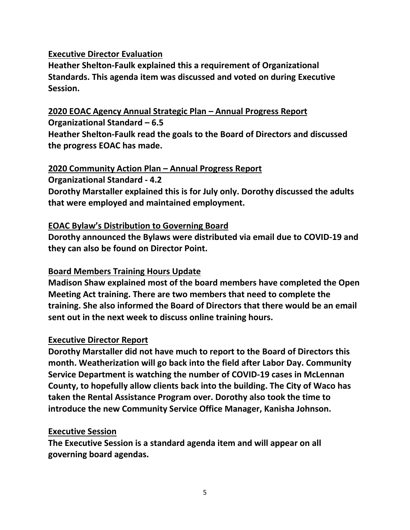## **Executive Director Evaluation**

**Heather Shelton-Faulk explained this a requirement of Organizational Standards. This agenda item was discussed and voted on during Executive Session.**

# **2020 EOAC Agency Annual Strategic Plan – Annual Progress Report**

**Organizational Standard – 6.5**

**Heather Shelton-Faulk read the goals to the Board of Directors and discussed the progress EOAC has made.**

#### **2020 Community Action Plan – Annual Progress Report**

**Organizational Standard - 4.2**

**Dorothy Marstaller explained this is for July only. Dorothy discussed the adults that were employed and maintained employment.**

## **EOAC Bylaw's Distribution to Governing Board**

**Dorothy announced the Bylaws were distributed via email due to COVID-19 and they can also be found on Director Point.**

## **Board Members Training Hours Update**

**Madison Shaw explained most of the board members have completed the Open Meeting Act training. There are two members that need to complete the training. She also informed the Board of Directors that there would be an email sent out in the next week to discuss online training hours.**

## **Executive Director Report**

**Dorothy Marstaller did not have much to report to the Board of Directors this month. Weatherization will go back into the field after Labor Day. Community Service Department is watching the number of COVID-19 cases in McLennan County, to hopefully allow clients back into the building. The City of Waco has taken the Rental Assistance Program over. Dorothy also took the time to introduce the new Community Service Office Manager, Kanisha Johnson.**

## **Executive Session**

**The Executive Session is a standard agenda item and will appear on all governing board agendas.**